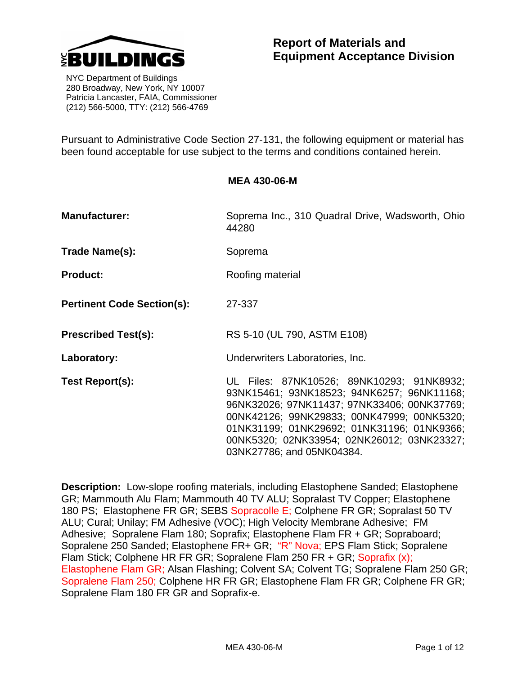

# **Report of Materials and Equipment Acceptance Division**

 NYC Department of Buildings 280 Broadway, New York, NY 10007 Patricia Lancaster, FAIA, Commissioner (212) 566-5000, TTY: (212) 566-4769

Pursuant to Administrative Code Section 27-131, the following equipment or material has been found acceptable for use subject to the terms and conditions contained herein.

**Manufacturer: Soprema Inc., 310 Quadral Drive, Wadsworth, Ohio** contains the Soprema Inc., 310 Quadral Drive, Wadsworth, Ohio 44280 Trade Name(s): Soprema **Product:** Roofing material **Pertinent Code Section(s):** 27-337 **Prescribed Test(s):** RS 5-10 (UL 790, ASTM E108) **Laboratory:** Underwriters Laboratories, Inc. **Test Report(s):** UL Files: 87NK10526; 89NK10293; 91NK8932; 93NK15461; 93NK18523; 94NK6257; 96NK11168; 96NK32026; 97NK11437; 97NK33406; 00NK37769; 00NK42126; 99NK29833; 00NK47999; 00NK5320; 01NK31199; 01NK29692; 01NK31196; 01NK9366; 00NK5320; 02NK33954; 02NK26012; 03NK23327; 03NK27786; and 05NK04384.

**Description:** Low-slope roofing materials, including Elastophene Sanded; Elastophene GR; Mammouth Alu Flam; Mammouth 40 TV ALU; Sopralast TV Copper; Elastophene 180 PS; Elastophene FR GR; SEBS Sopracolle E; Colphene FR GR; Sopralast 50 TV ALU; Cural; Unilay; FM Adhesive (VOC); High Velocity Membrane Adhesive; FM Adhesive; Sopralene Flam 180; Soprafix; Elastophene Flam FR + GR; Sopraboard; Sopralene 250 Sanded; Elastophene FR+ GR; "R" Nova; EPS Flam Stick; Sopralene Flam Stick; Colphene HR FR GR; Sopralene Flam 250 FR + GR; Soprafix (x); Elastophene Flam GR; Alsan Flashing; Colvent SA; Colvent TG; Sopralene Flam 250 GR; Sopralene Flam 250; Colphene HR FR GR; Elastophene Flam FR GR; Colphene FR GR; Sopralene Flam 180 FR GR and Soprafix-e.

## **MEA 430-06-M**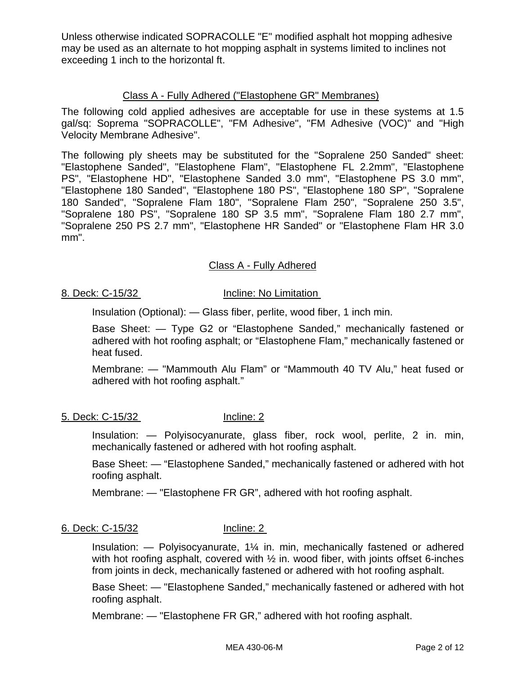Unless otherwise indicated SOPRACOLLE "E" modified asphalt hot mopping adhesive may be used as an alternate to hot mopping asphalt in systems limited to inclines not exceeding 1 inch to the horizontal ft.

## Class A - Fully Adhered ("Elastophene GR" Membranes)

The following cold applied adhesives are acceptable for use in these systems at 1.5 gal/sq: Soprema "SOPRACOLLE", "FM Adhesive", "FM Adhesive (VOC)" and "High Velocity Membrane Adhesive".

The following ply sheets may be substituted for the "Sopralene 250 Sanded" sheet: "Elastophene Sanded", "Elastophene Flam", "Elastophene FL 2.2mm", "Elastophene PS", "Elastophene HD", "Elastophene Sanded 3.0 mm", "Elastophene PS 3.0 mm", "Elastophene 180 Sanded", "Elastophene 180 PS", "Elastophene 180 SP", "Sopralene 180 Sanded", "Sopralene Flam 180", "Sopralene Flam 250", "Sopralene 250 3.5", "Sopralene 180 PS", "Sopralene 180 SP 3.5 mm", "Sopralene Flam 180 2.7 mm", "Sopralene 250 PS 2.7 mm", "Elastophene HR Sanded" or "Elastophene Flam HR 3.0 mm".

## Class A - Fully Adhered

## 8. Deck: C-15/32 Incline: No Limitation

Insulation (Optional): — Glass fiber, perlite, wood fiber, 1 inch min.

Base Sheet: — Type G2 or "Elastophene Sanded," mechanically fastened or adhered with hot roofing asphalt; or "Elastophene Flam," mechanically fastened or heat fused.

Membrane: — "Mammouth Alu Flam" or "Mammouth 40 TV Alu," heat fused or adhered with hot roofing asphalt."

5. Deck: C-15/32 Incline: 2

Insulation: — Polyisocyanurate, glass fiber, rock wool, perlite, 2 in. min, mechanically fastened or adhered with hot roofing asphalt.

Base Sheet: — "Elastophene Sanded," mechanically fastened or adhered with hot roofing asphalt.

Membrane: — "Elastophene FR GR", adhered with hot roofing asphalt.

## 6. Deck: C-15/32 Incline: 2

Insulation: — Polyisocyanurate, 1¼ in. min, mechanically fastened or adhered with hot roofing asphalt, covered with  $\frac{1}{2}$  in, wood fiber, with joints offset 6-inches from joints in deck, mechanically fastened or adhered with hot roofing asphalt.

Base Sheet: — "Elastophene Sanded," mechanically fastened or adhered with hot roofing asphalt.

Membrane: — "Elastophene FR GR," adhered with hot roofing asphalt.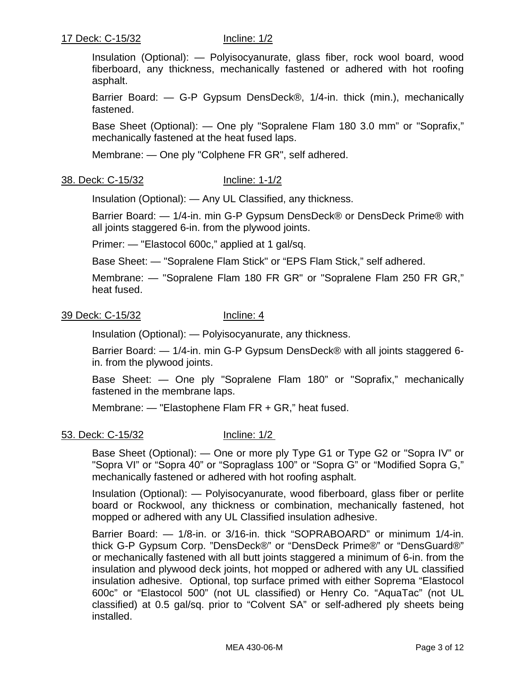Insulation (Optional): — Polyisocyanurate, glass fiber, rock wool board, wood fiberboard, any thickness, mechanically fastened or adhered with hot roofing asphalt.

Barrier Board: — G-P Gypsum DensDeck®, 1/4-in. thick (min.), mechanically fastened.

Base Sheet (Optional): — One ply "Sopralene Flam 180 3.0 mm" or "Soprafix," mechanically fastened at the heat fused laps.

Membrane: — One ply "Colphene FR GR", self adhered.

## 38. Deck: C-15/32 Incline: 1-1/2

Insulation (Optional): — Any UL Classified, any thickness.

Barrier Board: — 1/4-in. min G-P Gypsum DensDeck® or DensDeck Prime® with all joints staggered 6-in. from the plywood joints.

Primer: — "Elastocol 600c," applied at 1 gal/sq.

Base Sheet: — "Sopralene Flam Stick" or "EPS Flam Stick," self adhered.

Membrane: — "Sopralene Flam 180 FR GR" or "Sopralene Flam 250 FR GR," heat fused.

## 39 Deck: C-15/32 Incline: 4

Insulation (Optional): — Polyisocyanurate, any thickness.

Barrier Board: — 1/4-in. min G-P Gypsum DensDeck® with all joints staggered 6 in. from the plywood joints.

Base Sheet: — One ply "Sopralene Flam 180" or "Soprafix," mechanically fastened in the membrane laps.

Membrane: — "Elastophene Flam FR + GR," heat fused.

## 53. Deck: C-15/32 Incline: 1/2

Base Sheet (Optional): — One or more ply Type G1 or Type G2 or "Sopra IV" or "Sopra VI" or "Sopra 40" or "Sopraglass 100" or "Sopra G" or "Modified Sopra G," mechanically fastened or adhered with hot roofing asphalt.

Insulation (Optional): — Polyisocyanurate, wood fiberboard, glass fiber or perlite board or Rockwool, any thickness or combination, mechanically fastened, hot mopped or adhered with any UL Classified insulation adhesive.

Barrier Board: — 1/8-in. or 3/16-in. thick "SOPRABOARD" or minimum 1/4-in. thick G-P Gypsum Corp. "DensDeck®" or "DensDeck Prime®" or "DensGuard®" or mechanically fastened with all butt joints staggered a minimum of 6-in. from the insulation and plywood deck joints, hot mopped or adhered with any UL classified insulation adhesive. Optional, top surface primed with either Soprema "Elastocol 600c" or "Elastocol 500" (not UL classified) or Henry Co. "AquaTac" (not UL classified) at 0.5 gal/sq. prior to "Colvent SA" or self-adhered ply sheets being installed.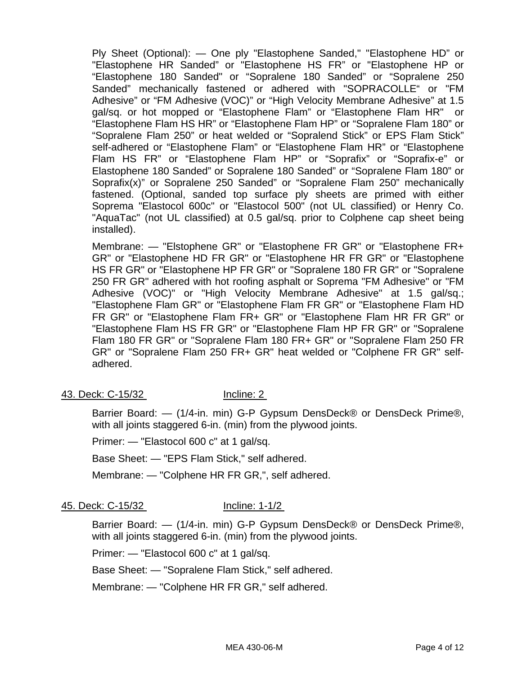Ply Sheet (Optional): — One ply "Elastophene Sanded," "Elastophene HD" or "Elastophene HR Sanded" or "Elastophene HS FR" or "Elastophene HP or "Elastophene 180 Sanded" or "Sopralene 180 Sanded" or "Sopralene 250 Sanded" mechanically fastened or adhered with "SOPRACOLLE" or "FM Adhesive" or "FM Adhesive (VOC)" or "High Velocity Membrane Adhesive" at 1.5 gal/sq. or hot mopped or "Elastophene Flam" or "Elastophene Flam HR" or "Elastophene Flam HS HR" or "Elastophene Flam HP" or "Sopralene Flam 180" or "Sopralene Flam 250" or heat welded or "Sopralend Stick" or EPS Flam Stick" self-adhered or "Elastophene Flam" or "Elastophene Flam HR" or "Elastophene Flam HS FR" or "Elastophene Flam HP" or "Soprafix" or "Soprafix-e" or Elastophene 180 Sanded" or Sopralene 180 Sanded" or "Sopralene Flam 180" or Soprafix(x)" or Sopralene 250 Sanded" or "Sopralene Flam 250" mechanically fastened. (Optional, sanded top surface ply sheets are primed with either Soprema "Elastocol 600c" or "Elastocol 500" (not UL classified) or Henry Co. "AquaTac" (not UL classified) at 0.5 gal/sq. prior to Colphene cap sheet being installed).

Membrane: — "Elstophene GR" or "Elastophene FR GR" or "Elastophene FR+ GR" or "Elastophene HD FR GR" or "Elastophene HR FR GR" or "Elastophene HS FR GR" or "Elastophene HP FR GR" or "Sopralene 180 FR GR" or "Sopralene 250 FR GR" adhered with hot roofing asphalt or Soprema "FM Adhesive" or "FM Adhesive (VOC)" or "High Velocity Membrane Adhesive" at 1.5 gal/sq.; "Elastophene Flam GR" or "Elastophene Flam FR GR" or "Elastophene Flam HD FR GR" or "Elastophene Flam FR+ GR" or "Elastophene Flam HR FR GR" or "Elastophene Flam HS FR GR" or "Elastophene Flam HP FR GR" or "Sopralene Flam 180 FR GR" or "Sopralene Flam 180 FR+ GR" or "Sopralene Flam 250 FR GR" or "Sopralene Flam 250 FR+ GR" heat welded or "Colphene FR GR" selfadhered.

43. Deck: C-15/32 Incline: 2

Barrier Board: — (1/4-in. min) G-P Gypsum DensDeck® or DensDeck Prime®, with all joints staggered 6-in. (min) from the plywood joints.

Primer: — "Elastocol 600 c" at 1 gal/sq.

Base Sheet: — "EPS Flam Stick," self adhered.

Membrane: — "Colphene HR FR GR,", self adhered.

45. Deck: C-15/32 Incline: 1-1/2

Barrier Board: — (1/4-in. min) G-P Gypsum DensDeck® or DensDeck Prime®, with all joints staggered 6-in. (min) from the plywood joints.

Primer: — "Elastocol 600 c" at 1 gal/sq.

Base Sheet: — "Sopralene Flam Stick," self adhered.

Membrane: — "Colphene HR FR GR," self adhered.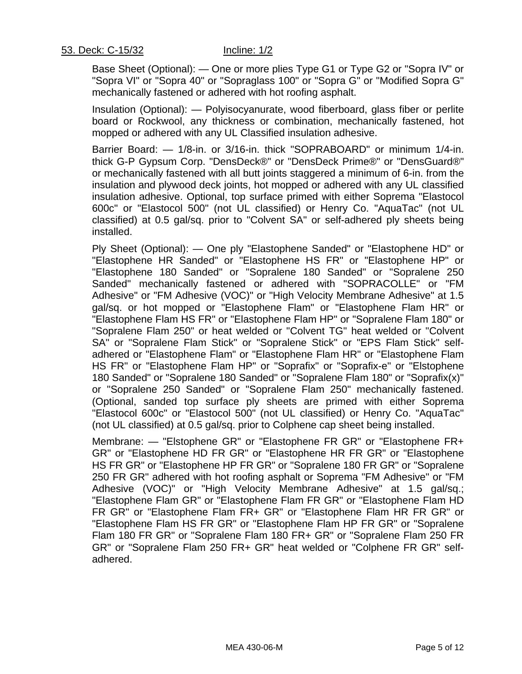Base Sheet (Optional): — One or more plies Type G1 or Type G2 or "Sopra IV" or "Sopra VI" or "Sopra 40" or "Sopraglass 100" or "Sopra G" or "Modified Sopra G" mechanically fastened or adhered with hot roofing asphalt.

Insulation (Optional): — Polyisocyanurate, wood fiberboard, glass fiber or perlite board or Rockwool, any thickness or combination, mechanically fastened, hot mopped or adhered with any UL Classified insulation adhesive.

Barrier Board: — 1/8-in. or 3/16-in. thick "SOPRABOARD" or minimum 1/4-in. thick G-P Gypsum Corp. "DensDeck®" or "DensDeck Prime®" or "DensGuard®" or mechanically fastened with all butt joints staggered a minimum of 6-in. from the insulation and plywood deck joints, hot mopped or adhered with any UL classified insulation adhesive. Optional, top surface primed with either Soprema "Elastocol 600c" or "Elastocol 500" (not UL classified) or Henry Co. "AquaTac" (not UL classified) at 0.5 gal/sq. prior to "Colvent SA" or self-adhered ply sheets being installed.

Ply Sheet (Optional): — One ply "Elastophene Sanded" or "Elastophene HD" or "Elastophene HR Sanded" or "Elastophene HS FR" or "Elastophene HP" or "Elastophene 180 Sanded" or "Sopralene 180 Sanded" or "Sopralene 250 Sanded" mechanically fastened or adhered with "SOPRACOLLE" or "FM Adhesive" or "FM Adhesive (VOC)" or "High Velocity Membrane Adhesive" at 1.5 gal/sq. or hot mopped or "Elastophene Flam" or "Elastophene Flam HR" or "Elastophene Flam HS FR" or "Elastophene Flam HP" or "Sopralene Flam 180" or "Sopralene Flam 250" or heat welded or "Colvent TG" heat welded or "Colvent SA" or "Sopralene Flam Stick" or "Sopralene Stick" or "EPS Flam Stick" selfadhered or "Elastophene Flam" or "Elastophene Flam HR" or "Elastophene Flam HS FR" or "Elastophene Flam HP" or "Soprafix" or "Soprafix-e" or "Elstophene 180 Sanded" or "Sopralene 180 Sanded" or "Sopralene Flam 180" or "Soprafix(x)" or "Sopralene 250 Sanded" or "Sopralene Flam 250" mechanically fastened. (Optional, sanded top surface ply sheets are primed with either Soprema "Elastocol 600c" or "Elastocol 500" (not UL classified) or Henry Co. "AquaTac" (not UL classified) at 0.5 gal/sq. prior to Colphene cap sheet being installed.

Membrane: — "Elstophene GR" or "Elastophene FR GR" or "Elastophene FR+ GR" or "Elastophene HD FR GR" or "Elastophene HR FR GR" or "Elastophene HS FR GR" or "Elastophene HP FR GR" or "Sopralene 180 FR GR" or "Sopralene 250 FR GR" adhered with hot roofing asphalt or Soprema "FM Adhesive" or "FM Adhesive (VOC)" or "High Velocity Membrane Adhesive" at 1.5 gal/sq.; "Elastophene Flam GR" or "Elastophene Flam FR GR" or "Elastophene Flam HD FR GR" or "Elastophene Flam FR+ GR" or "Elastophene Flam HR FR GR" or "Elastophene Flam HS FR GR" or "Elastophene Flam HP FR GR" or "Sopralene Flam 180 FR GR" or "Sopralene Flam 180 FR+ GR" or "Sopralene Flam 250 FR GR" or "Sopralene Flam 250 FR+ GR" heat welded or "Colphene FR GR" selfadhered.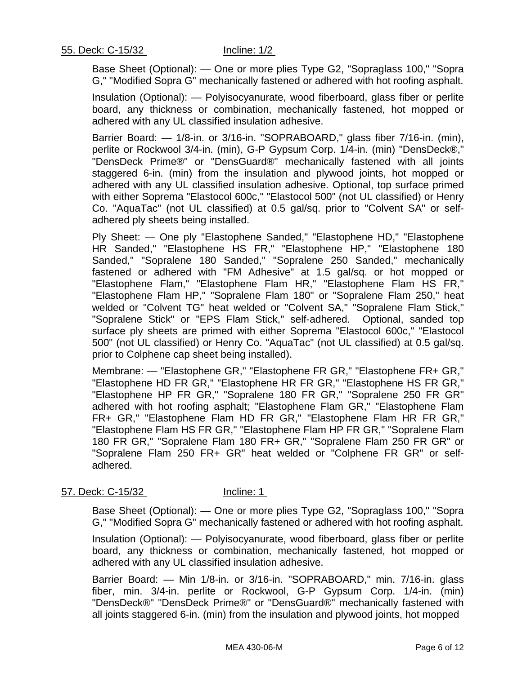Base Sheet (Optional): — One or more plies Type G2, "Sopraglass 100," "Sopra G," "Modified Sopra G" mechanically fastened or adhered with hot roofing asphalt.

Insulation (Optional): — Polyisocyanurate, wood fiberboard, glass fiber or perlite board, any thickness or combination, mechanically fastened, hot mopped or adhered with any UL classified insulation adhesive.

Barrier Board: — 1/8-in. or 3/16-in. "SOPRABOARD," glass fiber 7/16-in. (min), perlite or Rockwool 3/4-in. (min), G-P Gypsum Corp. 1/4-in. (min) "DensDeck®," "DensDeck Prime®" or "DensGuard®" mechanically fastened with all joints staggered 6-in. (min) from the insulation and plywood joints, hot mopped or adhered with any UL classified insulation adhesive. Optional, top surface primed with either Soprema "Elastocol 600c," "Elastocol 500" (not UL classified) or Henry Co. "AquaTac" (not UL classified) at 0.5 gal/sq. prior to "Colvent SA" or selfadhered ply sheets being installed.

Ply Sheet: — One ply "Elastophene Sanded," "Elastophene HD," "Elastophene HR Sanded," "Elastophene HS FR," "Elastophene HP," "Elastophene 180 Sanded," "Sopralene 180 Sanded," "Sopralene 250 Sanded," mechanically fastened or adhered with "FM Adhesive" at 1.5 gal/sq. or hot mopped or "Elastophene Flam," "Elastophene Flam HR," "Elastophene Flam HS FR," "Elastophene Flam HP," "Sopralene Flam 180" or "Sopralene Flam 250," heat welded or "Colvent TG" heat welded or "Colvent SA," "Sopralene Flam Stick," "Sopralene Stick" or "EPS Flam Stick," self-adhered. Optional, sanded top surface ply sheets are primed with either Soprema "Elastocol 600c," "Elastocol 500" (not UL classified) or Henry Co. "AquaTac" (not UL classified) at 0.5 gal/sq. prior to Colphene cap sheet being installed).

Membrane: — "Elastophene GR," "Elastophene FR GR," "Elastophene FR+ GR," "Elastophene HD FR GR," "Elastophene HR FR GR," "Elastophene HS FR GR," "Elastophene HP FR GR," "Sopralene 180 FR GR," "Sopralene 250 FR GR" adhered with hot roofing asphalt; "Elastophene Flam GR," "Elastophene Flam FR+ GR," "Elastophene Flam HD FR GR," "Elastophene Flam HR FR GR," "Elastophene Flam HS FR GR," "Elastophene Flam HP FR GR," "Sopralene Flam 180 FR GR," "Sopralene Flam 180 FR+ GR," "Sopralene Flam 250 FR GR" or "Sopralene Flam 250 FR+ GR" heat welded or "Colphene FR GR" or selfadhered.

### 57. Deck: C-15/32 Incline: 1

Base Sheet (Optional): — One or more plies Type G2, "Sopraglass 100," "Sopra G," "Modified Sopra G" mechanically fastened or adhered with hot roofing asphalt.

Insulation (Optional): — Polyisocyanurate, wood fiberboard, glass fiber or perlite board, any thickness or combination, mechanically fastened, hot mopped or adhered with any UL classified insulation adhesive.

Barrier Board: — Min 1/8-in. or 3/16-in. "SOPRABOARD," min. 7/16-in. glass fiber, min. 3/4-in. perlite or Rockwool, G-P Gypsum Corp. 1/4-in. (min) "DensDeck®" "DensDeck Prime®" or "DensGuard®" mechanically fastened with all joints staggered 6-in. (min) from the insulation and plywood joints, hot mopped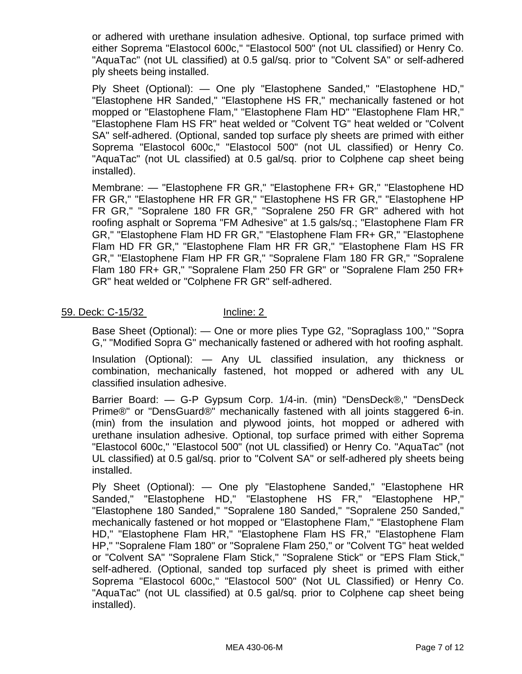or adhered with urethane insulation adhesive. Optional, top surface primed with either Soprema "Elastocol 600c," "Elastocol 500" (not UL classified) or Henry Co. "AquaTac" (not UL classified) at 0.5 gal/sq. prior to "Colvent SA" or self-adhered ply sheets being installed.

Ply Sheet (Optional): — One ply "Elastophene Sanded," "Elastophene HD," "Elastophene HR Sanded," "Elastophene HS FR," mechanically fastened or hot mopped or "Elastophene Flam," "Elastophene Flam HD" "Elastophene Flam HR," "Elastophene Flam HS FR" heat welded or "Colvent TG" heat welded or "Colvent SA" self-adhered. (Optional, sanded top surface ply sheets are primed with either Soprema "Elastocol 600c," "Elastocol 500" (not UL classified) or Henry Co. "AquaTac" (not UL classified) at 0.5 gal/sq. prior to Colphene cap sheet being installed).

Membrane: — "Elastophene FR GR," "Elastophene FR+ GR," "Elastophene HD FR GR," "Elastophene HR FR GR," "Elastophene HS FR GR," "Elastophene HP FR GR," "Sopralene 180 FR GR," "Sopralene 250 FR GR" adhered with hot roofing asphalt or Soprema "FM Adhesive" at 1.5 gals/sq.; "Elastophene Flam FR GR," "Elastophene Flam HD FR GR," "Elastophene Flam FR+ GR," "Elastophene Flam HD FR GR," "Elastophene Flam HR FR GR," "Elastophene Flam HS FR GR," "Elastophene Flam HP FR GR," "Sopralene Flam 180 FR GR," "Sopralene Flam 180 FR+ GR," "Sopralene Flam 250 FR GR" or "Sopralene Flam 250 FR+ GR" heat welded or "Colphene FR GR" self-adhered.

## 59. Deck: C-15/32 Incline: 2

Base Sheet (Optional): — One or more plies Type G2, "Sopraglass 100," "Sopra G," "Modified Sopra G" mechanically fastened or adhered with hot roofing asphalt.

Insulation (Optional): — Any UL classified insulation, any thickness or combination, mechanically fastened, hot mopped or adhered with any UL classified insulation adhesive.

Barrier Board: — G-P Gypsum Corp. 1/4-in. (min) "DensDeck®," "DensDeck Prime®" or "DensGuard®" mechanically fastened with all joints staggered 6-in. (min) from the insulation and plywood joints, hot mopped or adhered with urethane insulation adhesive. Optional, top surface primed with either Soprema "Elastocol 600c," "Elastocol 500" (not UL classified) or Henry Co. "AquaTac" (not UL classified) at 0.5 gal/sq. prior to "Colvent SA" or self-adhered ply sheets being installed.

Ply Sheet (Optional): — One ply "Elastophene Sanded," "Elastophene HR Sanded," "Elastophene HD," "Elastophene HS FR," "Elastophene HP," "Elastophene 180 Sanded," "Sopralene 180 Sanded," "Sopralene 250 Sanded," mechanically fastened or hot mopped or "Elastophene Flam," "Elastophene Flam HD," "Elastophene Flam HR," "Elastophene Flam HS FR," "Elastophene Flam HP," "Sopralene Flam 180" or "Sopralene Flam 250," or "Colvent TG" heat welded or "Colvent SA" "Sopralene Flam Stick," "Sopralene Stick" or "EPS Flam Stick," self-adhered. (Optional, sanded top surfaced ply sheet is primed with either Soprema "Elastocol 600c," "Elastocol 500" (Not UL Classified) or Henry Co. "AquaTac" (not UL classified) at 0.5 gal/sq. prior to Colphene cap sheet being installed).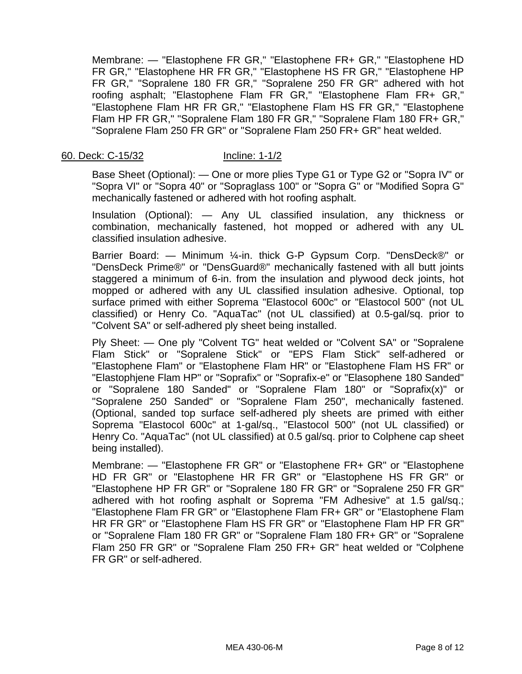Membrane: — "Elastophene FR GR," "Elastophene FR+ GR," "Elastophene HD FR GR," "Elastophene HR FR GR," "Elastophene HS FR GR," "Elastophene HP FR GR," "Sopralene 180 FR GR," "Sopralene 250 FR GR" adhered with hot roofing asphalt; "Elastophene Flam FR GR," "Elastophene Flam FR+ GR," "Elastophene Flam HR FR GR," "Elastophene Flam HS FR GR," "Elastophene Flam HP FR GR," "Sopralene Flam 180 FR GR," "Sopralene Flam 180 FR+ GR," "Sopralene Flam 250 FR GR" or "Sopralene Flam 250 FR+ GR" heat welded.

### 60. Deck: C-15/32 Incline: 1-1/2

Base Sheet (Optional): — One or more plies Type G1 or Type G2 or "Sopra IV" or "Sopra VI" or "Sopra 40" or "Sopraglass 100" or "Sopra G" or "Modified Sopra G" mechanically fastened or adhered with hot roofing asphalt.

Insulation (Optional): — Any UL classified insulation, any thickness or combination, mechanically fastened, hot mopped or adhered with any UL classified insulation adhesive.

Barrier Board: — Minimum ¼-in. thick G-P Gypsum Corp. "DensDeck®" or "DensDeck Prime®" or "DensGuard®" mechanically fastened with all butt joints staggered a minimum of 6-in. from the insulation and plywood deck joints, hot mopped or adhered with any UL classified insulation adhesive. Optional, top surface primed with either Soprema "Elastocol 600c" or "Elastocol 500" (not UL classified) or Henry Co. "AquaTac" (not UL classified) at 0.5-gal/sq. prior to "Colvent SA" or self-adhered ply sheet being installed.

Ply Sheet: — One ply "Colvent TG" heat welded or "Colvent SA" or "Sopralene Flam Stick" or "Sopralene Stick" or "EPS Flam Stick" self-adhered or "Elastophene Flam" or "Elastophene Flam HR" or "Elastophene Flam HS FR" or "Elastophjene Flam HP" or "Soprafix" or "Soprafix-e" or "Elasophene 180 Sanded" or "Sopralene 180 Sanded" or "Sopralene Flam 180" or "Soprafix(x)" or "Sopralene 250 Sanded" or "Sopralene Flam 250", mechanically fastened. (Optional, sanded top surface self-adhered ply sheets are primed with either Soprema "Elastocol 600c" at 1-gal/sq., "Elastocol 500" (not UL classified) or Henry Co. "AquaTac" (not UL classified) at 0.5 gal/sq. prior to Colphene cap sheet being installed).

Membrane: — "Elastophene FR GR" or "Elastophene FR+ GR" or "Elastophene HD FR GR" or "Elastophene HR FR GR" or "Elastophene HS FR GR" or "Elastophene HP FR GR" or "Sopralene 180 FR GR" or "Sopralene 250 FR GR" adhered with hot roofing asphalt or Soprema "FM Adhesive" at 1.5 gal/sq.; "Elastophene Flam FR GR" or "Elastophene Flam FR+ GR" or "Elastophene Flam HR FR GR" or "Elastophene Flam HS FR GR" or "Elastophene Flam HP FR GR" or "Sopralene Flam 180 FR GR" or "Sopralene Flam 180 FR+ GR" or "Sopralene Flam 250 FR GR" or "Sopralene Flam 250 FR+ GR" heat welded or "Colphene FR GR" or self-adhered.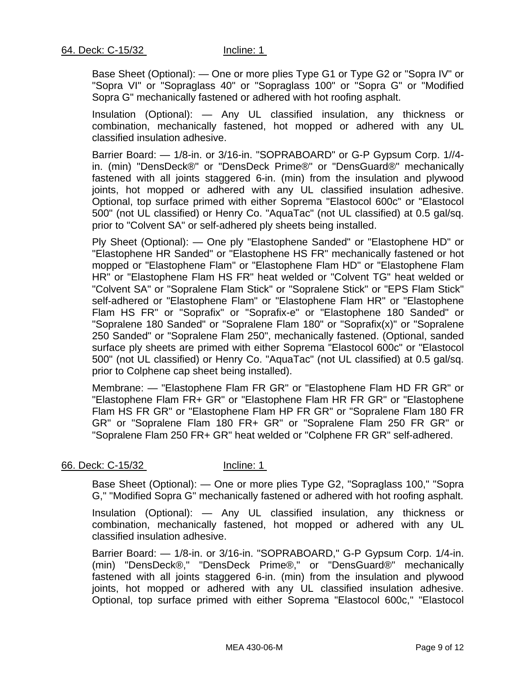Base Sheet (Optional): — One or more plies Type G1 or Type G2 or "Sopra IV" or "Sopra VI" or "Sopraglass 40" or "Sopraglass 100" or "Sopra G" or "Modified Sopra G" mechanically fastened or adhered with hot roofing asphalt.

Insulation (Optional): — Any UL classified insulation, any thickness or combination, mechanically fastened, hot mopped or adhered with any UL classified insulation adhesive.

Barrier Board: — 1/8-in. or 3/16-in. "SOPRABOARD" or G-P Gypsum Corp. 1//4 in. (min) "DensDeck®" or "DensDeck Prime®" or "DensGuard®" mechanically fastened with all joints staggered 6-in. (min) from the insulation and plywood joints, hot mopped or adhered with any UL classified insulation adhesive. Optional, top surface primed with either Soprema "Elastocol 600c" or "Elastocol 500" (not UL classified) or Henry Co. "AquaTac" (not UL classified) at 0.5 gal/sq. prior to "Colvent SA" or self-adhered ply sheets being installed.

Ply Sheet (Optional): — One ply "Elastophene Sanded" or "Elastophene HD" or "Elastophene HR Sanded" or "Elastophene HS FR" mechanically fastened or hot mopped or "Elastophene Flam" or "Elastophene Flam HD" or "Elastophene Flam HR" or "Elastophene Flam HS FR" heat welded or "Colvent TG" heat welded or "Colvent SA" or "Sopralene Flam Stick" or "Sopralene Stick" or "EPS Flam Stick" self-adhered or "Elastophene Flam" or "Elastophene Flam HR" or "Elastophene Flam HS FR" or "Soprafix" or "Soprafix-e" or "Elastophene 180 Sanded" or "Sopralene 180 Sanded" or "Sopralene Flam 180" or "Soprafix(x)" or "Sopralene 250 Sanded" or "Sopralene Flam 250", mechanically fastened. (Optional, sanded surface ply sheets are primed with either Soprema "Elastocol 600c" or "Elastocol 500" (not UL classified) or Henry Co. "AquaTac" (not UL classified) at 0.5 gal/sq. prior to Colphene cap sheet being installed).

Membrane: — "Elastophene Flam FR GR" or "Elastophene Flam HD FR GR" or "Elastophene Flam FR+ GR" or "Elastophene Flam HR FR GR" or "Elastophene Flam HS FR GR" or "Elastophene Flam HP FR GR" or "Sopralene Flam 180 FR GR" or "Sopralene Flam 180 FR+ GR" or "Sopralene Flam 250 FR GR" or "Sopralene Flam 250 FR+ GR" heat welded or "Colphene FR GR" self-adhered.

## 66. Deck: C-15/32 Incline: 1

Base Sheet (Optional): — One or more plies Type G2, "Sopraglass 100," "Sopra G," "Modified Sopra G" mechanically fastened or adhered with hot roofing asphalt.

Insulation (Optional): — Any UL classified insulation, any thickness or combination, mechanically fastened, hot mopped or adhered with any UL classified insulation adhesive.

Barrier Board: — 1/8-in. or 3/16-in. "SOPRABOARD," G-P Gypsum Corp. 1/4-in. (min) "DensDeck®," "DensDeck Prime®," or "DensGuard®" mechanically fastened with all joints staggered 6-in. (min) from the insulation and plywood joints, hot mopped or adhered with any UL classified insulation adhesive. Optional, top surface primed with either Soprema "Elastocol 600c," "Elastocol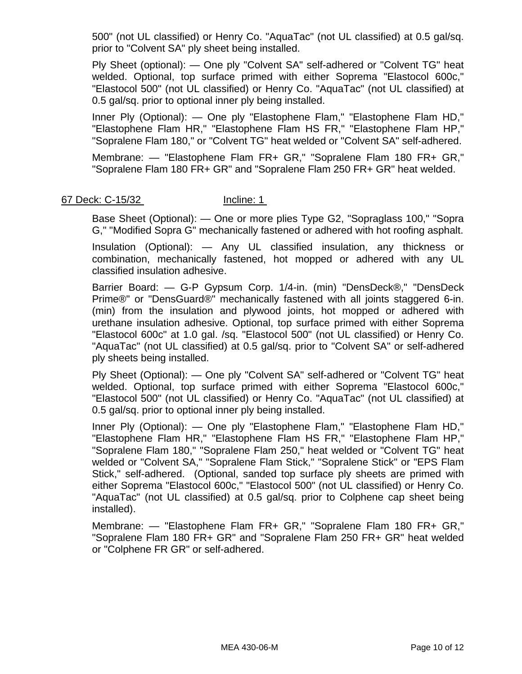500" (not UL classified) or Henry Co. "AquaTac" (not UL classified) at 0.5 gal/sq. prior to "Colvent SA" ply sheet being installed.

Ply Sheet (optional): — One ply "Colvent SA" self-adhered or "Colvent TG" heat welded. Optional, top surface primed with either Soprema "Elastocol 600c," "Elastocol 500" (not UL classified) or Henry Co. "AquaTac" (not UL classified) at 0.5 gal/sq. prior to optional inner ply being installed.

Inner Ply (Optional): — One ply "Elastophene Flam," "Elastophene Flam HD," "Elastophene Flam HR," "Elastophene Flam HS FR," "Elastophene Flam HP," "Sopralene Flam 180," or "Colvent TG" heat welded or "Colvent SA" self-adhered.

Membrane: — "Elastophene Flam FR+ GR," "Sopralene Flam 180 FR+ GR," "Sopralene Flam 180 FR+ GR" and "Sopralene Flam 250 FR+ GR" heat welded.

## 67 Deck: C-15/32 **Incline: 1**

Base Sheet (Optional): — One or more plies Type G2, "Sopraglass 100," "Sopra G," "Modified Sopra G" mechanically fastened or adhered with hot roofing asphalt.

Insulation (Optional): — Any UL classified insulation, any thickness or combination, mechanically fastened, hot mopped or adhered with any UL classified insulation adhesive.

Barrier Board: — G-P Gypsum Corp. 1/4-in. (min) "DensDeck®," "DensDeck Prime®" or "DensGuard®" mechanically fastened with all joints staggered 6-in. (min) from the insulation and plywood joints, hot mopped or adhered with urethane insulation adhesive. Optional, top surface primed with either Soprema "Elastocol 600c" at 1.0 gal. /sq. "Elastocol 500" (not UL classified) or Henry Co. "AquaTac" (not UL classified) at 0.5 gal/sq. prior to "Colvent SA" or self-adhered ply sheets being installed.

Ply Sheet (Optional): — One ply "Colvent SA" self-adhered or "Colvent TG" heat welded. Optional, top surface primed with either Soprema "Elastocol 600c," "Elastocol 500" (not UL classified) or Henry Co. "AquaTac" (not UL classified) at 0.5 gal/sq. prior to optional inner ply being installed.

Inner Ply (Optional): — One ply "Elastophene Flam," "Elastophene Flam HD," "Elastophene Flam HR," "Elastophene Flam HS FR," "Elastophene Flam HP," "Sopralene Flam 180," "Sopralene Flam 250," heat welded or "Colvent TG" heat welded or "Colvent SA," "Sopralene Flam Stick," "Sopralene Stick" or "EPS Flam Stick," self-adhered. (Optional, sanded top surface ply sheets are primed with either Soprema "Elastocol 600c," "Elastocol 500" (not UL classified) or Henry Co. "AquaTac" (not UL classified) at 0.5 gal/sq. prior to Colphene cap sheet being installed).

Membrane: — "Elastophene Flam FR+ GR," "Sopralene Flam 180 FR+ GR," "Sopralene Flam 180 FR+ GR" and "Sopralene Flam 250 FR+ GR" heat welded or "Colphene FR GR" or self-adhered.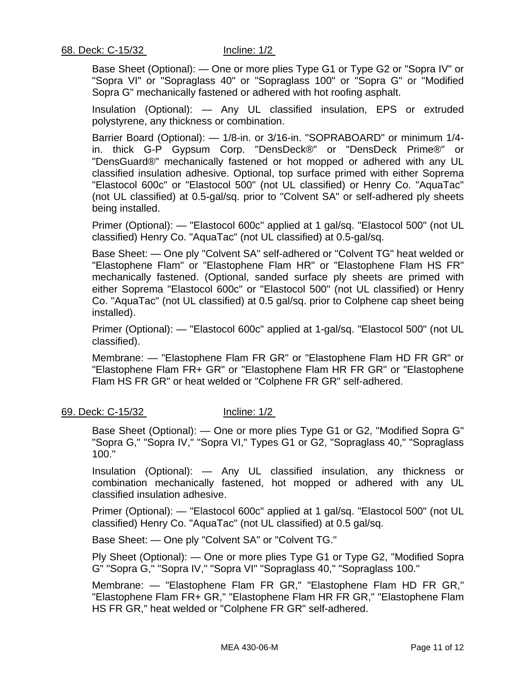Base Sheet (Optional): — One or more plies Type G1 or Type G2 or "Sopra IV" or "Sopra VI" or "Sopraglass 40" or "Sopraglass 100" or "Sopra G" or "Modified Sopra G" mechanically fastened or adhered with hot roofing asphalt.

Insulation (Optional): — Any UL classified insulation, EPS or extruded polystyrene, any thickness or combination.

Barrier Board (Optional): — 1/8-in. or 3/16-in. "SOPRABOARD" or minimum 1/4 in. thick G-P Gypsum Corp. "DensDeck®" or "DensDeck Prime®" or "DensGuard®" mechanically fastened or hot mopped or adhered with any UL classified insulation adhesive. Optional, top surface primed with either Soprema "Elastocol 600c" or "Elastocol 500" (not UL classified) or Henry Co. "AquaTac" (not UL classified) at 0.5-gal/sq. prior to "Colvent SA" or self-adhered ply sheets being installed.

Primer (Optional): — "Elastocol 600c" applied at 1 gal/sq. "Elastocol 500" (not UL classified) Henry Co. "AquaTac" (not UL classified) at 0.5-gal/sq.

Base Sheet: — One ply "Colvent SA" self-adhered or "Colvent TG" heat welded or "Elastophene Flam" or "Elastophene Flam HR" or "Elastophene Flam HS FR" mechanically fastened. (Optional, sanded surface ply sheets are primed with either Soprema "Elastocol 600c" or "Elastocol 500" (not UL classified) or Henry Co. "AquaTac" (not UL classified) at 0.5 gal/sq. prior to Colphene cap sheet being installed).

Primer (Optional): — "Elastocol 600c" applied at 1-gal/sq. "Elastocol 500" (not UL classified).

Membrane: — "Elastophene Flam FR GR" or "Elastophene Flam HD FR GR" or "Elastophene Flam FR+ GR" or "Elastophene Flam HR FR GR" or "Elastophene Flam HS FR GR" or heat welded or "Colphene FR GR" self-adhered.

### 69. Deck: C-15/32 Incline: 1/2

Base Sheet (Optional): — One or more plies Type G1 or G2, "Modified Sopra G" "Sopra G," "Sopra IV," "Sopra VI," Types G1 or G2, "Sopraglass 40," "Sopraglass 100."

Insulation (Optional): — Any UL classified insulation, any thickness or combination mechanically fastened, hot mopped or adhered with any UL classified insulation adhesive.

Primer (Optional): — "Elastocol 600c" applied at 1 gal/sq. "Elastocol 500" (not UL classified) Henry Co. "AquaTac" (not UL classified) at 0.5 gal/sq.

Base Sheet: — One ply "Colvent SA" or "Colvent TG."

Ply Sheet (Optional): — One or more plies Type G1 or Type G2, "Modified Sopra G" "Sopra G," "Sopra IV," "Sopra VI" "Sopraglass 40," "Sopraglass 100."

Membrane: — "Elastophene Flam FR GR," "Elastophene Flam HD FR GR," "Elastophene Flam FR+ GR," "Elastophene Flam HR FR GR," "Elastophene Flam HS FR GR," heat welded or "Colphene FR GR" self-adhered.